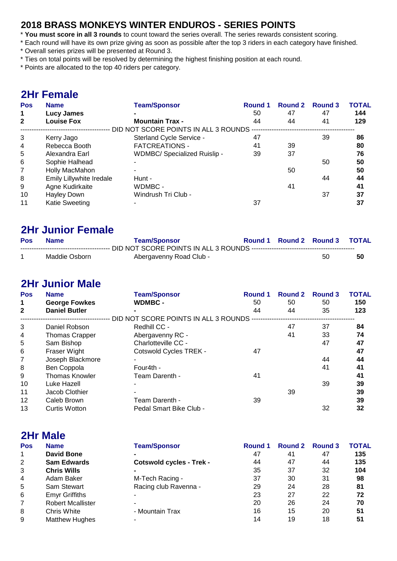#### **2018 BRASS MONKEYS WINTER ENDUROS - SERIES POINTS**

- \* **You must score in all 3 rounds** to count toward the series overall. The series rewards consistent scoring.
- \* Each round will have its own prize giving as soon as possible after the top 3 riders in each category have finished.
- \* Overall series prizes will be presented at Round 3.
- \* Ties on total points will be resolved by determining the highest finishing position at each round.
- \* Points are allocated to the top 40 riders per category.

### **2Hr Female**

| <b>Pos</b>   | <b>Name</b>              | <b>Team/Sponsor</b>                  | <b>Round 1</b> | <b>Round 2</b> | <b>Round 3</b> | <b>TOTAL</b> |
|--------------|--------------------------|--------------------------------------|----------------|----------------|----------------|--------------|
| $\mathbf 1$  | <b>Lucy James</b>        |                                      | 50             | 47             | 47             | 144          |
| $\mathbf{2}$ | <b>Louise Fox</b>        | <b>Mountain Trax -</b>               | 44             | 44             | 41             | 129          |
|              |                          | DID NOT SCORE POINTS IN ALL 3 ROUNDS |                |                |                |              |
| 3            | Kerry Jago               | Sterland Cycle Service -             | 47             |                | 39             | 86           |
| 4            | Rebecca Booth            | <b>FATCREATIONS -</b>                | 41             | 39             |                | 80           |
| 5            | Alexandra Earl           | <b>WDMBC/ Specialized Ruislip -</b>  | 39             | 37             |                | 76           |
| 6            | Sophie Halhead           |                                      |                |                | 50             | 50           |
| 7            | Holly MacMahon           |                                      |                | 50             |                | 50           |
| 8            | Emily Lillywhite Iredale | Hunt -                               |                |                | 44             | 44           |
| 9            | Agne Kudirkaite          | WDMBC -                              |                | 41             |                | 41           |
| 10           | <b>Hayley Down</b>       | Windrush Tri Club -                  |                |                | 37             | 37           |
| 11           | Katie Sweeting           |                                      | 37             |                |                | 37           |

### **2Hr Junior Female**

| Pos | <b>Name</b>   | <b>Team/Sponsor</b>     |  | Round 1 Round 2 Round 3 TOTAL |     |
|-----|---------------|-------------------------|--|-------------------------------|-----|
|     |               |                         |  |                               |     |
|     | Maddie Osborn | Abergavenny Road Club - |  | 50                            | -50 |

## **2Hr Junior Male**

**2Hr Male**

| <b>Pos</b>     | <b>Name</b>           | <b>Team/Sponsor</b>                    | Round 1 | <b>Round 2</b> | <b>Round 3</b> | <b>TOTAL</b> |
|----------------|-----------------------|----------------------------------------|---------|----------------|----------------|--------------|
| $\mathbf 1$    | <b>George Fowkes</b>  | <b>WDMBC -</b>                         | 50      | 50             | 50             | 150          |
| $\mathbf{2}$   | <b>Daniel Butler</b>  |                                        | 44      | 44             | 35             | 123          |
|                |                       | DID NOT SCORE POINTS IN ALL 3 ROUNDS - |         |                |                |              |
| 3              | Daniel Robson         | Redhill CC -                           |         | 47             | 37             | 84           |
| $\overline{4}$ | <b>Thomas Crapper</b> | Abergavenny RC -                       |         | 41             | 33             | 74           |
| 5              | Sam Bishop            | Charlotteville CC -                    |         |                | 47             | 47           |
| 6              | Fraser Wight          | <b>Cotswold Cycles TREK -</b>          | 47      |                |                | 47           |
| 7              | Joseph Blackmore      |                                        |         |                | 44             | 44           |
| 8              | Ben Coppola           | Four4th -                              |         |                | 41             | 41           |
| 9              | <b>Thomas Knowler</b> | Team Darenth -                         | 41      |                |                | 41           |
| 10             | Luke Hazell           |                                        |         |                | 39             | 39           |
| 11             | Jacob Clothier        |                                        |         | 39             |                | 39           |
| 12             | Caleb Brown           | Team Darenth -                         | 39      |                |                | 39           |
| 13             | <b>Curtis Wotton</b>  | Pedal Smart Bike Club -                |         |                | 32             | 32           |

|                | <i>L</i> iii wiliv       |                                 |         |         |                |              |
|----------------|--------------------------|---------------------------------|---------|---------|----------------|--------------|
| <b>Pos</b>     | <b>Name</b>              | <b>Team/Sponsor</b>             | Round 1 | Round 2 | <b>Round 3</b> | <b>TOTAL</b> |
| 1              | <b>David Bone</b>        |                                 | 47      | 41      | 47             | 135          |
| 2              | <b>Sam Edwards</b>       | <b>Cotswold cycles - Trek -</b> | 44      | 47      | 44             | 135          |
| 3              | <b>Chris Wills</b>       |                                 | 35      | 37      | 32             | 104          |
| $\overline{4}$ | Adam Baker               | M-Tech Racing -                 | 37      | 30      | 31             | 98           |
| 5              | Sam Stewart              | Racing club Ravenna -           | 29      | 24      | 28             | 81           |
| 6              | <b>Emyr Griffiths</b>    |                                 | 23      | 27      | 22             | 72           |
| 7              | <b>Robert Mcallister</b> |                                 | 20      | 26      | 24             | 70           |
| 8              | Chris White              | - Mountain Trax                 | 16      | 15      | 20             | 51           |
| 9              | <b>Matthew Hughes</b>    |                                 | 14      | 19      | 18             | 51           |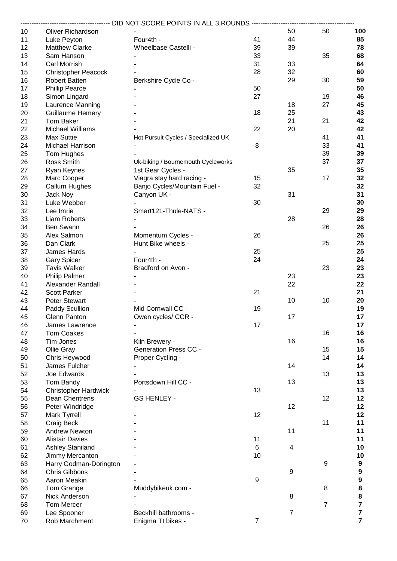|          |                                | -------------------------- DID NOT SCORE POINTS IN ALL 3 ROUNDS ---------------------------- |                  |                |                |                         |
|----------|--------------------------------|----------------------------------------------------------------------------------------------|------------------|----------------|----------------|-------------------------|
| 10       | Oliver Richardson              |                                                                                              |                  | 50             | 50             | 100                     |
| 11       | Luke Peyton                    | Four4th -                                                                                    | 41               | 44             |                | 85                      |
| 12       | <b>Matthew Clarke</b>          | Wheelbase Castelli -                                                                         | 39               | 39             |                | 78                      |
| 13       | Sam Hanson                     |                                                                                              | 33               |                | 35             | 68                      |
| 14       | Carl Morrish                   |                                                                                              | 31               | 33             |                | 64                      |
| 15       | <b>Christopher Peacock</b>     |                                                                                              | 28               | 32             |                | 60                      |
| 16       | <b>Robert Batten</b>           | Berkshire Cycle Co -                                                                         |                  | 29             | 30             | 59                      |
| 17       | <b>Phillip Pearce</b>          |                                                                                              | 50               |                |                | 50                      |
| 18       | Simon Lingard                  |                                                                                              | 27               |                | 19             | 46                      |
| 19       | Laurence Manning               |                                                                                              |                  | 18             | 27             | 45                      |
| 20       | <b>Guillaume Hemery</b>        |                                                                                              | 18               | 25             |                | 43                      |
| 21       | Tom Baker                      |                                                                                              |                  | 21             | 21             | 42                      |
| 22       | Michael Williams               |                                                                                              | 22               | 20             |                | 42                      |
| 23       | Max Suttie                     | Hot Pursuit Cycles / Specialized UK                                                          |                  |                | 41             | 41                      |
| 24       | Michael Harrison               |                                                                                              | 8                |                | 33             | 41                      |
| 25       | Tom Hughes                     |                                                                                              |                  |                | 39             | 39                      |
| 26       | Ross Smith                     | Uk-biking / Bournemouth Cycleworks                                                           |                  |                | 37             | 37                      |
| 27       | Ryan Keynes                    | 1st Gear Cycles -                                                                            |                  | 35             |                | 35                      |
| 28       | Marc Cooper                    | Viagra stay hard racing -                                                                    | 15               |                | 17             | 32                      |
| 29       | Callum Hughes                  | Banjo Cycles/Mountain Fuel -                                                                 | 32               |                |                | 32                      |
| 30       | <b>Jack Noy</b>                | Canyon UK -                                                                                  |                  | 31             |                | 31                      |
| 31       | Luke Webber                    |                                                                                              | 30               |                |                | 30                      |
| 32       | Lee Imrie                      | Smart121-Thule-NATS -                                                                        |                  |                | 29             | 29                      |
| 33       | <b>Liam Roberts</b>            |                                                                                              |                  | 28             |                | 28                      |
| 34       | Ben Swann                      |                                                                                              |                  |                | 26             | 26                      |
| 35       | Alex Salmon                    | Momentum Cycles -                                                                            | 26               |                |                | 26                      |
| 36       | Dan Clark                      | Hunt Bike wheels -                                                                           |                  |                | 25             | 25                      |
| 37       | James Hards                    |                                                                                              | 25               |                |                | 25                      |
| 38       | <b>Gary Spicer</b>             | Four4th -                                                                                    | 24               |                |                | 24                      |
| 39       | <b>Tavis Walker</b>            | Bradford on Avon -                                                                           |                  |                | 23             | 23                      |
| 40       | <b>Philip Palmer</b>           |                                                                                              |                  | 23             |                | 23                      |
| 41       | Alexander Randall              |                                                                                              |                  | 22             |                | 22                      |
| 42       | <b>Scott Parker</b>            |                                                                                              | 21               |                |                | 21                      |
| 43       | <b>Peter Stewart</b>           |                                                                                              |                  | 10             | 10             | 20                      |
| 44       | Paddy Scullion                 | Mid Cornwall CC -                                                                            | 19               |                |                | 19                      |
| 45       | Glenn Panton<br>James Lawrence | Owen cycles/ CCR -                                                                           | 17               | 17             |                | 17<br>17                |
| 46<br>47 | <b>Tom Coakes</b>              |                                                                                              |                  |                | 16             | 16                      |
| 48       | Tim Jones                      |                                                                                              |                  | 16             |                | 16                      |
| 49       | Ollie Gray                     | Kiln Brewery -<br><b>Generation Press CC -</b>                                               |                  |                | 15             | 15                      |
| 50       | Chris Heywood                  | Proper Cycling -                                                                             |                  |                | 14             | 14                      |
| 51       | James Fulcher                  |                                                                                              |                  | 14             |                | 14                      |
| 52       | Joe Edwards                    |                                                                                              |                  |                | 13             | 13                      |
| 53       | Tom Bandy                      | Portsdown Hill CC -                                                                          |                  | 13             |                | 13                      |
| 54       | <b>Christopher Hardwick</b>    |                                                                                              | 13               |                |                | 13                      |
| 55       | Dean Chentrens                 | <b>GS HENLEY -</b>                                                                           |                  |                | 12             | 12                      |
| 56       | Peter Windridge                |                                                                                              |                  | 12             |                | 12                      |
| 57       | Mark Tyrrell                   |                                                                                              | 12               |                |                | 12                      |
| 58       | Craig Beck                     |                                                                                              |                  |                | 11             | 11                      |
| 59       | <b>Andrew Newton</b>           |                                                                                              |                  | 11             |                | 11                      |
| 60       | <b>Alistair Davies</b>         |                                                                                              | 11               |                |                | 11                      |
| 61       | Ashley Staniland               |                                                                                              | $6\phantom{1}$   | 4              |                | 10                      |
| 62       | Jimmy Mercanton                |                                                                                              | 10               |                |                | 10                      |
| 63       | Harry Godman-Dorington         |                                                                                              |                  |                | 9              | $\boldsymbol{9}$        |
| 64       | <b>Chris Gibbons</b>           |                                                                                              |                  | 9              |                | 9                       |
| 65       | Aaron Meakin                   |                                                                                              | $\boldsymbol{9}$ |                |                | 9                       |
| 66       | Tom Grange                     | Muddybikeuk.com -                                                                            |                  |                | 8              | 8                       |
| 67       | Nick Anderson                  |                                                                                              |                  | 8              |                | 8                       |
| 68       | Tom Mercer                     |                                                                                              |                  |                | $\overline{7}$ | $\overline{\mathbf{7}}$ |
| 69       | Lee Spooner                    | Beckhill bathrooms -                                                                         |                  | $\overline{7}$ |                | $\overline{\mathbf{7}}$ |
| 70       | Rob Marchment                  | Enigma TI bikes -                                                                            | $\boldsymbol{7}$ |                |                | $\overline{7}$          |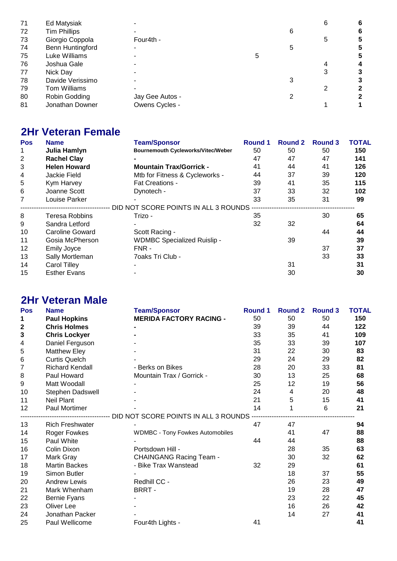| 71 | Ed Matysiak         |                 |   |   | 6 | 6 |
|----|---------------------|-----------------|---|---|---|---|
| 72 | <b>Tim Phillips</b> |                 |   | 6 |   | 6 |
| 73 | Giorgio Coppola     | Four4th -       |   |   | 5 | 5 |
| 74 | Benn Huntingford    |                 |   | 5 |   | 5 |
| 75 | Luke Williams       |                 | 5 |   |   | 5 |
| 76 | Joshua Gale         |                 |   |   |   | 4 |
| 77 | Nick Day            |                 |   |   | 3 | 3 |
| 78 | Davide Verissimo    |                 |   |   |   |   |
| 79 | Tom Williams        |                 |   |   |   | 2 |
| 80 | Robin Godding       | Jay Gee Autos - |   |   |   |   |
| 81 | Jonathan Downer     | Owens Cycles -  |   |   |   |   |

# **2Hr Veteran Female**

| <b>Pos</b> | <b>Name</b>            | <b>Team/Sponsor</b>                       | <b>Round 1</b> | <b>Round 2</b> | <b>Round 3</b> | <b>TOTAL</b> |
|------------|------------------------|-------------------------------------------|----------------|----------------|----------------|--------------|
| 1          | Julia Hamlyn           | <b>Bournemouth Cycleworks/Vitec/Weber</b> | 50             | 50             | 50             | 150          |
| 2          | <b>Rachel Clay</b>     |                                           | 47             | 47             | 47             | 141          |
| 3          | <b>Helen Howard</b>    | <b>Mountain Trax/Gorrick -</b>            | 41             | 44             | 41             | 126          |
| 4          | Jackie Field           | Mtb for Fitness & Cycleworks -            | 44             | 37             | 39             | 120          |
| 5          | Kym Harvey             | <b>Fat Creations -</b>                    | 39             | 41             | 35             | 115          |
| 6          | Joanne Scott           | Dynotech -                                | 37             | 33             | 32             | 102          |
| 7          | Louise Parker          |                                           | 33             | 35             | 31             | 99           |
|            |                        | DID NOT SCORE POINTS IN ALL 3 ROUNDS      |                |                |                |              |
| 8          | <b>Teresa Robbins</b>  | Trizo -                                   | 35             |                | 30             | 65           |
| 9          | Sandra Letford         |                                           | 32             | 32             |                | 64           |
| 10         | <b>Caroline Goward</b> | Scott Racing -                            |                |                | 44             | 44           |
| 11         | Gosia McPherson        | <b>WDMBC Specialized Ruislip -</b>        |                | 39             |                | 39           |
| 12         | <b>Emily Joyce</b>     | FNR -                                     |                |                | 37             | 37           |
| 13         | Sally Mortleman        | 70aks Tri Club -                          |                |                | 33             | 33           |
| 14         | <b>Carol Tilley</b>    |                                           |                | 31             |                | 31           |
| 15         | <b>Esther Evans</b>    |                                           |                | 30             |                | 30           |
|            |                        |                                           |                |                |                |              |

# **2Hr Veteran Male**

| Pos              | <b>Name</b>            | <b>Team/Sponsor</b>                    | <b>Round 1</b> | <b>Round 2</b> | <b>Round 3</b> | <b>TOTAL</b> |
|------------------|------------------------|----------------------------------------|----------------|----------------|----------------|--------------|
| 1                | <b>Paul Hopkins</b>    | <b>MERIDA FACTORY RACING -</b>         | 50             | 50             | 50             | 150          |
| $\boldsymbol{2}$ | <b>Chris Holmes</b>    |                                        | 39             | 39             | 44             | 122          |
| 3                | <b>Chris Lockyer</b>   |                                        | 33             | 35             | 41             | 109          |
| 4                | Daniel Ferguson        |                                        | 35             | 33             | 39             | 107          |
| 5                | <b>Matthew Eley</b>    |                                        | 31             | 22             | 30             | 83           |
| 6                | <b>Curtis Quelch</b>   |                                        | 29             | 24             | 29             | 82           |
| $\overline{7}$   | <b>Richard Kendall</b> | - Berks on Bikes                       | 28             | 20             | 33             | 81           |
| 8                | Paul Howard            | Mountain Trax / Gorrick -              | 30             | 13             | 25             | 68           |
| 9                | Matt Woodall           |                                        | 25             | 12             | 19             | 56           |
| 10               | Stephen Dadswell       |                                        | 24             | 4              | 20             | 48           |
| 11               | <b>Neil Plant</b>      |                                        | 21             | 5              | 15             | 41           |
| 12               | <b>Paul Mortimer</b>   |                                        | 14             | 1              | 6              | 21           |
|                  |                        | DID NOT SCORE POINTS IN ALL 3 ROUNDS   |                |                |                |              |
| 13               | <b>Rich Freshwater</b> |                                        | 47             | 47             |                | 94           |
| 14               | Roger Fowkes           | <b>WDMBC - Tony Fowkes Automobiles</b> |                | 41             | 47             | 88           |
| 15               | Paul White             |                                        | 44             | 44             |                | 88           |
| 16               | Colin Dixon            | Portsdown Hill -                       |                | 28             | 35             | 63           |
| 17               | Mark Gray              | <b>CHAINGANG Racing Team -</b>         |                | 30             | 32             | 62           |
| 18               | <b>Martin Backes</b>   | - Bike Trax Wanstead                   | 32             | 29             |                | 61           |
| 19               | Simon Butler           |                                        |                | 18             | 37             | 55           |
| 20               | <b>Andrew Lewis</b>    | Redhill CC -                           |                | 26             | 23             | 49           |
| 21               | Mark Whenham           | BRRT-                                  |                | 19             | 28             | 47           |
| 22               | Bernie Fyans           |                                        |                | 23             | 22             | 45           |
| 23               | Oliver Lee             |                                        |                | 16             | 26             | 42           |
| 24               | Jonathan Packer        |                                        |                | 14             | 27             | 41           |
| 25               | Paul Wellicome         | Four4th Lights -                       | 41             |                |                | 41           |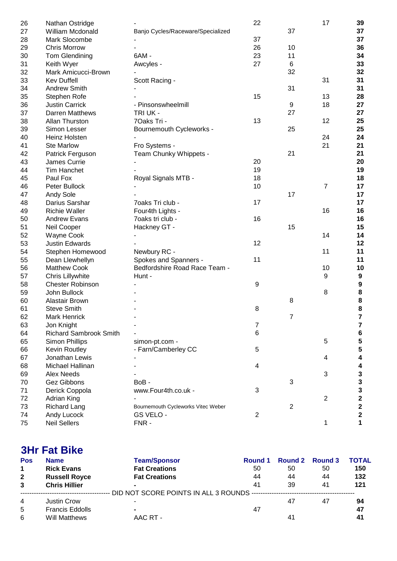| 26 | Nathan Ostridge               |                                    | 22             |                | 17             | 39                                    |
|----|-------------------------------|------------------------------------|----------------|----------------|----------------|---------------------------------------|
| 27 | William Mcdonald              | Banjo Cycles/Raceware/Specialized  |                | 37             |                | 37                                    |
| 28 | Mark Slocombe                 |                                    | 37             |                |                | 37                                    |
| 29 | <b>Chris Morrow</b>           |                                    | 26             | 10             |                | 36                                    |
| 30 | Tom Glendining                | 6AM -                              | 23             | 11             |                | 34                                    |
| 31 | Keith Wyer                    | Awcyles -                          | 27             | 6              |                | 33                                    |
| 32 | Mark Amicucci-Brown           |                                    |                | 32             |                | 32                                    |
| 33 | <b>Kev Duffell</b>            | Scott Racing -                     |                |                | 31             | 31                                    |
| 34 | <b>Andrew Smith</b>           |                                    |                | 31             |                | 31                                    |
| 35 | Stephen Rofe                  |                                    | 15             |                | 13             | 28                                    |
| 36 | <b>Justin Carrick</b>         | - Pinsonswheelmill                 |                | 9              | 18             | 27                                    |
| 37 | Darren Matthews               | TRI UK -                           |                | 27             |                | 27                                    |
| 38 | Allan Thurston                | 70aks Tri -                        | 13             |                | 12             | 25                                    |
| 39 | Simon Lesser                  | Bournemouth Cycleworks -           |                | 25             |                | 25                                    |
| 40 | Heinz Holsten                 |                                    |                |                | 24             | 24                                    |
| 41 | <b>Ste Marlow</b>             | Fro Systems -                      |                |                | 21             | 21                                    |
| 42 | Patrick Ferguson              | Team Chunky Whippets -             |                | 21             |                | 21                                    |
| 43 | James Currie                  |                                    | 20             |                |                | 20                                    |
| 44 | <b>Tim Hanchet</b>            |                                    | 19             |                |                | 19                                    |
| 45 | Paul Fox                      | Royal Signals MTB -                | 18             |                |                | 18                                    |
| 46 | Peter Bullock                 |                                    | 10             |                | $\overline{7}$ | 17                                    |
| 47 | <b>Andy Sole</b>              |                                    |                | 17             |                | 17                                    |
| 48 | Darius Sarshar                | 7oaks Tri club -                   | 17             |                |                | 17                                    |
| 49 | <b>Richie Waller</b>          | Four4th Lights -                   |                |                | 16             | 16                                    |
| 50 | <b>Andrew Evans</b>           | 7oaks tri club -                   | 16             |                |                | 16                                    |
| 51 | Neil Cooper                   | Hackney GT -                       |                | 15             |                | 15                                    |
| 52 | Wayne Cook                    |                                    |                |                | 14             | 14                                    |
| 53 | <b>Justin Edwards</b>         |                                    | 12             |                |                | 12                                    |
| 54 | Stephen Homewood              | Newbury RC -                       |                |                | 11             | 11                                    |
| 55 | Dean Llewhellyn               | Spokes and Spanners -              | 11             |                |                | 11                                    |
| 56 | <b>Matthew Cook</b>           | Bedfordshire Road Race Team -      |                |                | 10             | 10                                    |
| 57 | Chris Lillywhite              | Hunt -                             |                |                | 9              | 9                                     |
| 58 | <b>Chester Robinson</b>       |                                    | 9              |                |                | $\boldsymbol{9}$                      |
| 59 | John Bullock                  |                                    |                |                | 8              | 8                                     |
| 60 | Alastair Brown                |                                    |                | 8              |                |                                       |
| 61 | <b>Steve Smith</b>            |                                    | 8              |                |                | $\begin{array}{c} 8 \\ 8 \end{array}$ |
| 62 | Mark Henrick                  |                                    |                | 7              |                | $\overline{\mathbf{r}}$               |
| 63 | Jon Knight                    |                                    | 7              |                |                | 7                                     |
| 64 | <b>Richard Sambrook Smith</b> |                                    | 6              |                |                | 6                                     |
| 65 | Simon Phillips                | simon-pt.com -                     |                |                | 5              |                                       |
| 66 | Kevin Routley                 | - Farn/Camberley CC                | 5              |                |                | $\frac{5}{5}$                         |
| 67 | Jonathan Lewis                |                                    |                |                | 4              | 4                                     |
|    | Michael Hallinan              |                                    | 4              |                |                |                                       |
| 68 | <b>Alex Needs</b>             |                                    |                |                | 3              | 4                                     |
| 69 |                               |                                    |                |                |                | 3                                     |
| 70 | Gez Gibbons                   | BoB-                               |                | 3              |                | 3                                     |
| 71 | Derick Coppola                | www.Four4th.co.uk -                | 3              |                |                | 3                                     |
| 72 | Adrian King                   |                                    |                |                | $\overline{2}$ | $\overline{\mathbf{c}}$               |
| 73 | <b>Richard Lang</b>           | Bournemouth Cycleworks Vitec Weber |                | $\overline{2}$ |                | $\overline{\mathbf{c}}$               |
| 74 | Andy Lucock                   | GS VELO -                          | $\overline{2}$ |                |                | $\mathbf 2$                           |
| 75 | <b>Neil Sellers</b>           | FNR-                               |                |                | 1              | 1                                     |

## **3Hr Fat Bike**

| <b>Pos</b>     | <b>Name</b>            | <b>Team/Sponsor</b>                        | Round 1 | Round 2 | <b>Round 3</b> | <b>TOTAL</b> |
|----------------|------------------------|--------------------------------------------|---------|---------|----------------|--------------|
| $\mathbf 1$    | <b>Rick Evans</b>      | <b>Fat Creations</b>                       | 50      | 50      | 50             | 150          |
| $\overline{2}$ | <b>Russell Royce</b>   | <b>Fat Creations</b>                       | 44      | 44      | 44             | 132          |
| 3              | <b>Chris Hillier</b>   | $\sim$                                     | 41      | 39      | 41             | 121          |
|                |                        | DID NOT SCORE POINTS IN ALL 3 ROUNDS ----- |         |         |                |              |
| 4              | <b>Justin Crow</b>     | $\blacksquare$                             |         | 47      | 47             | 94           |
| 5              | <b>Francis Eddolls</b> | $\sim$                                     | 47      |         |                | 47           |
| 6              | Will Matthews          | AAC RT -                                   |         | 41      |                | 41           |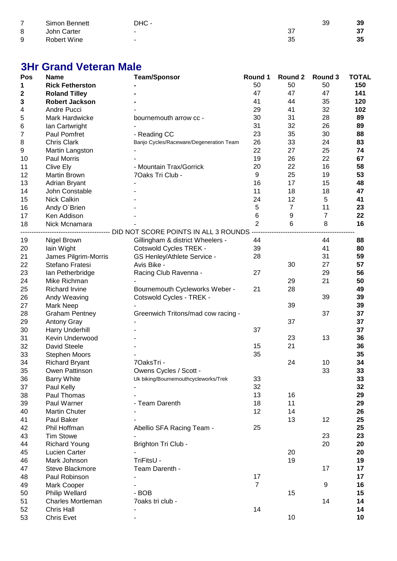| ⇁ | Simon Bennett | DHC -    | ЗΞ | 39 |
|---|---------------|----------|----|----|
| 8 | John Carter   | ົ<br>، ب |    | J1 |
| 9 | Robert Wine   | 35       |    | 35 |

# **3Hr Grand Veteran Male**

| Pos              | <b>Name</b>              | <b>Team/Sponsor</b>                                                                                   | Round 1        | Round 2 | Round 3        | <b>TOTAL</b> |
|------------------|--------------------------|-------------------------------------------------------------------------------------------------------|----------------|---------|----------------|--------------|
| 1                | <b>Rick Fetherston</b>   |                                                                                                       | 50             | 50      | 50             | 150          |
| $\boldsymbol{2}$ | <b>Roland Tilley</b>     |                                                                                                       | 47             | 47      | 47             | 141          |
| 3                | <b>Robert Jackson</b>    |                                                                                                       | 41             | 44      | 35             | 120          |
| 4                | Andre Pucci              |                                                                                                       | 29             | 41      | 32             | 102          |
| 5                | Mark Hardwicke           | bournemouth arrow cc -                                                                                | 30             | 31      | 28             | 89           |
| 6                | Ian Cartwright           |                                                                                                       | 31             | 32      | 26             | 89           |
| $\overline{7}$   | Paul Pomfret             | - Reading CC                                                                                          | 23             | 35      | 30             | 88           |
| 8                | <b>Chris Clark</b>       | Banjo Cycles/Raceware/Degeneration Team                                                               | 26             | 33      | 24             | 83           |
| 9                | Martin Langston          |                                                                                                       | 22             | 27      | 25             | 74           |
| 10               | Paul Morris              |                                                                                                       | 19             | 26      | 22             | 67           |
| 11               | Clive Ely                | - Mountain Trax/Gorrick                                                                               | 20             | 22      | 16             | 58           |
| 12               | Martin Brown             | 7Oaks Tri Club -                                                                                      | 9              | 25      | 19             | 53           |
| 13               | Adrian Bryant            |                                                                                                       | 16             | 17      | 15             | 48           |
| 14               | John Constable           |                                                                                                       | 11             | 18      | 18             | 47           |
| 15               | <b>Nick Calkin</b>       |                                                                                                       | 24             | 12      | 5              | 41           |
| 16               | Andy O'Brien             |                                                                                                       | 5              | 7       | 11             | 23           |
| 17               | Ken Addison              |                                                                                                       | 6              | 9       | $\overline{7}$ | 22           |
| 18               | Nick Mcnamara            |                                                                                                       | $\overline{2}$ | $\,6$   | 8              | 16           |
|                  |                          | ----------------------------    DID NOT SCORE    POINTS IN ALL                               3 ROUNDS |                |         |                |              |
|                  | Nigel Brown              | Gillingham & district Wheelers -                                                                      | 44             |         | 44             | 88           |
| 19               |                          |                                                                                                       | 39             |         | 41             | 80           |
| 20               | lain Wight               | Cotswold Cycles TREK -                                                                                | 28             |         | 31             | 59           |
| 21               | James Pilgrim-Morris     | GS Henley/Athlete Service -                                                                           |                |         |                |              |
| 22               | Stefano Fratesi          | Avis Bike -                                                                                           |                | 30      | 27             | 57           |
| 23               | Ian Petherbridge         | Racing Club Ravenna -                                                                                 | 27             |         | 29             | 56           |
| 24               | Mike Richman             |                                                                                                       |                | 29      | 21             | 50           |
| 25               | <b>Richard Irvine</b>    | Bournemouth Cycleworks Weber -                                                                        | 21             | 28      |                | 49           |
| 26               | Andy Weaving             | Cotswold Cycles - TREK -                                                                              |                |         | 39             | 39           |
| 27               | Mark Neep                |                                                                                                       |                | 39      |                | 39           |
| 28               | <b>Graham Pentney</b>    | Greenwich Tritons/mad cow racing -                                                                    |                |         | 37             | 37           |
| 29               | <b>Antony Gray</b>       |                                                                                                       |                | 37      |                | 37           |
| 30               | Harry Underhill          |                                                                                                       | 37             |         |                | 37           |
| 31               | Kevin Underwood          |                                                                                                       |                | 23      | 13             | 36           |
| 32               | David Steele             |                                                                                                       | 15             | 21      |                | 36           |
| 33               | <b>Stephen Moors</b>     |                                                                                                       | 35             |         |                | 35           |
| 34               | <b>Richard Bryant</b>    | 7OaksTri -                                                                                            |                | 24      | 10             | 34           |
| 35               | Owen Pattinson           | Owens Cycles / Scott                                                                                  |                |         | 33             | 33           |
| 36               | <b>Barry White</b>       | Uk biking/Bournemouthcycleworks/Trek                                                                  | 33             |         |                | 33           |
| 37               | Paul Kelly               |                                                                                                       | 32             |         |                | 32           |
| 38               | Paul Thomas              |                                                                                                       | 13             | 16      |                | 29           |
| 39               | Paul Warner              | - Team Darenth                                                                                        | 18             | 11      |                | 29           |
| 40               | <b>Martin Chuter</b>     |                                                                                                       | 12             | 14      |                | 26           |
| 41               | Paul Baker               |                                                                                                       |                | 13      | 12             | 25           |
| 42               | Phil Hoffman             | Abellio SFA Racing Team -                                                                             | 25             |         |                | 25           |
| 43               | <b>Tim Stowe</b>         |                                                                                                       |                |         | 23             | 23           |
| 44               | <b>Richard Young</b>     | Brighton Tri Club -                                                                                   |                |         | 20             | 20           |
| 45               | Lucien Carter            |                                                                                                       |                | 20      |                | 20           |
| 46               | Mark Johnson             | TriFitsU -                                                                                            |                | 19      |                | 19           |
| 47               | Steve Blackmore          | Team Darenth -                                                                                        |                |         | 17             | 17           |
| 48               | Paul Robinson            |                                                                                                       | 17             |         |                | 17           |
| 49               | Mark Cooper              |                                                                                                       | $\overline{7}$ |         | 9              | 16           |
| 50               | <b>Philip Wellard</b>    | - BOB                                                                                                 |                | 15      |                | 15           |
| 51               | <b>Charles Mortleman</b> | 7oaks tri club -                                                                                      |                |         | 14             | 14           |
| 52               | <b>Chris Hall</b>        |                                                                                                       | 14             |         |                | 14           |
| 53               | <b>Chris Evet</b>        |                                                                                                       |                | 10      |                | 10           |
|                  |                          |                                                                                                       |                |         |                |              |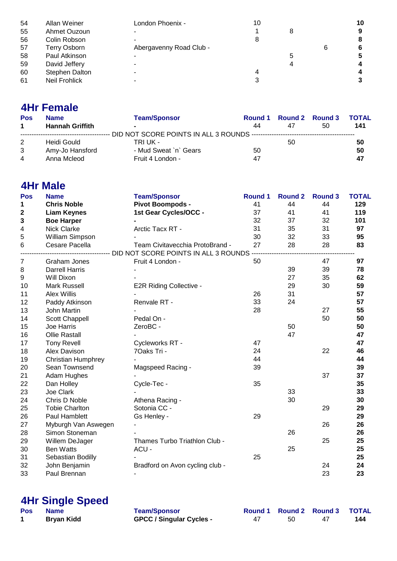| 54 | Allan Weiner   | London Phoenix -        | 10 |  | 10 |
|----|----------------|-------------------------|----|--|----|
| 55 | Ahmet Ouzoun   |                         |    |  | 9  |
| 56 | Colin Robson   |                         |    |  | 8  |
| 57 | Terry Osborn   | Abergavenny Road Club - |    |  | 6  |
| 58 | Paul Atkinson  |                         |    |  | 5  |
| 59 | David Jeffery  |                         |    |  | 4  |
| 60 | Stephen Dalton |                         |    |  | 4  |
| 61 | Neil Frohlick  |                         |    |  | 3  |

## **4Hr Female**

| Pos                  | <b>Name</b>            | <b>Team/Sponsor</b>   |    | Round 1 Round 2 Round 3 |    | <b>TOTAL</b> |
|----------------------|------------------------|-----------------------|----|-------------------------|----|--------------|
| $\blacktriangleleft$ | <b>Hannah Griffith</b> | $\blacksquare$        | 44 | 47                      | 50 | 141          |
|                      |                        |                       |    |                         |    |              |
| 2                    | Heidi Gould            | TRI UK -              |    | 50                      |    | 50           |
| 3                    | Amy-Jo Hansford        | - Mud Sweat `n` Gears | 50 |                         |    | 50           |
| $\overline{4}$       | Anna Mcleod            | Fruit 4 London -      | 47 |                         |    | 47           |

### **4Hr Male**

| Pos         | <b>Name</b>               | <b>Team/Sponsor</b>                                                  | <b>Round 1</b> | <b>Round 2</b> | <b>Round 3</b> | <b>TOTAL</b> |
|-------------|---------------------------|----------------------------------------------------------------------|----------------|----------------|----------------|--------------|
| 1           | <b>Chris Noble</b>        | Pivot Boompods -                                                     | 41             | 44             | 44             | 129          |
| $\mathbf 2$ | <b>Liam Keynes</b>        | 1st Gear Cycles/OCC -                                                | 37             | 41             | 41             | 119          |
| 3           | <b>Boe Harper</b>         |                                                                      | 32             | 37             | 32             | 101          |
| 4           | Nick Clarke               | Arctic Tacx RT -                                                     | 31             | 35             | 31             | 97           |
| 5           | William Simpson           |                                                                      | 30             | 32             | 33             | 95           |
| 6           | Cesare Pacella            | Team Civitavecchia ProtoBrand -                                      | 27             | 28             | 28             | 83           |
|             |                           | ----------------------------    DID NOT SCORE POINTS IN ALL 3 ROUNDS |                |                |                |              |
| 7           | Graham Jones              | Fruit 4 London -                                                     | 50             |                | 47             | 97           |
| 8           | <b>Darrell Harris</b>     |                                                                      |                | 39             | 39             | 78           |
| 9           | Will Dixon                |                                                                      |                | 27             | 35             | 62           |
| 10          | <b>Mark Russell</b>       | <b>E2R Riding Collective -</b>                                       |                | 29             | 30             | 59           |
| 11          | <b>Alex Willis</b>        |                                                                      | 26             | 31             |                | 57           |
| 12          | Paddy Atkinson            | Renvale RT -                                                         | 33             | 24             |                | 57           |
| 13          | John Martin               |                                                                      | 28             |                | 27             | 55           |
| 14          | Scott Chappell            | Pedal On -                                                           |                |                | 50             | 50           |
| 15          | Joe Harris                | ZeroBC -                                                             |                | 50             |                | 50           |
| 16          | <b>Ollie Rastall</b>      |                                                                      |                | 47             |                | 47           |
| 17          | <b>Tony Revell</b>        | Cycleworks RT -                                                      | 47             |                |                | 47           |
| 18          | Alex Davison              | 70aks Tri -                                                          | 24             |                | 22             | 46           |
| 19          | <b>Christian Humphrey</b> |                                                                      | 44             |                |                | 44           |
| 20          | Sean Townsend             | Magspeed Racing -                                                    | 39             |                |                | 39           |
| 21          | Adam Hughes               |                                                                      |                |                | 37             | 37           |
| 22          | Dan Holley                | Cycle-Tec -                                                          | 35             |                |                | 35           |
| 23          | Joe Clark                 |                                                                      |                | 33             |                | 33           |
| 24          | Chris D Noble             | Athena Racing -                                                      |                | 30             |                | 30           |
| 25          | <b>Tobie Charlton</b>     | Sotonia CC -                                                         |                |                | 29             | 29           |
| 26          | Paul Hamblett             | Gs Henley -                                                          | 29             |                |                | 29           |
| 27          | Myburgh Van Aswegen       |                                                                      |                |                | 26             | 26           |
| 28          | Simon Stoneman            |                                                                      |                | 26             |                | 26           |
| 29          | Willem DeJager            | Thames Turbo Triathlon Club -                                        |                |                | 25             | 25           |
| 30          | <b>Ben Watts</b>          | ACU -                                                                |                | 25             |                | 25           |
| 31          | Sebastian Bodilly         |                                                                      | 25             |                |                | 25           |
| 32          | John Benjamin             | Bradford on Avon cycling club -                                      |                |                | 24             | 24           |
| 33          | Paul Brennan              |                                                                      |                |                | 23             | 23           |
|             |                           |                                                                      |                |                |                |              |

#### **4Hr Single Speed**

| Pos | <b>Name</b>       | <b>Team/Sponsor</b>             |    |    | Round 1 Round 2 Round 3 TOTAL |     |
|-----|-------------------|---------------------------------|----|----|-------------------------------|-----|
|     | <b>Bryan Kidd</b> | <b>GPCC / Singular Cycles -</b> | 47 | 50 |                               | 144 |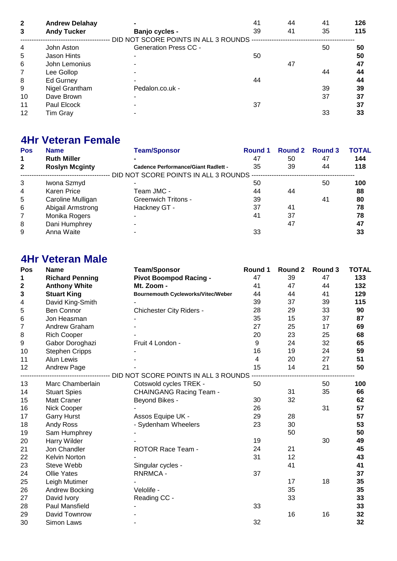| $\overline{2}$ | <b>Andrew Delahay</b> |                                       | 41 | 44 | 41 | 126 |
|----------------|-----------------------|---------------------------------------|----|----|----|-----|
| 3              | <b>Andy Tucker</b>    | Banjo cycles -                        | 39 | 41 | 35 | 115 |
|                |                       | DID NOT SCORE POINTS IN ALL 3 ROUNDS. |    |    |    |     |
| $\overline{4}$ | John Aston            | <b>Generation Press CC -</b>          |    |    | 50 | 50  |
| 5              | Jason Hints           |                                       | 50 |    |    | 50  |
| 6              | John Lemonius         |                                       |    | 47 |    | 47  |
| 7              | Lee Gollop            |                                       |    |    | 44 | 44  |
| 8              | Ed Gurney             |                                       | 44 |    |    | 44  |
| 9              | Nigel Grantham        | Pedalon.co.uk -                       |    |    | 39 | 39  |
| 10             | Dave Brown            |                                       |    |    | 37 | 37  |
| 11             | Paul Elcock           |                                       | 37 |    |    | 37  |
| 12             | Tim Gray              |                                       |    |    | 33 | 33  |

## **4Hr Veteran Female**

| <b>Pos</b>     | <b>Name</b>           | <b>Team/Sponsor</b>                        | <b>Round 1</b> | Round 2 | Round 3 | ΤΟΤΑL |
|----------------|-----------------------|--------------------------------------------|----------------|---------|---------|-------|
| 1              | <b>Ruth Miller</b>    |                                            | 47             | 50      | 47      | 144   |
| $\mathbf{2}$   | <b>Roslyn Mcginty</b> | <b>Cadence Performance/Giant Radlett -</b> | 35             | 39      | 44      | 118   |
|                |                       | DID NOT SCORE POINTS IN ALL 3 ROUNDS       |                |         |         |       |
| 3              | Iwona Szmyd           |                                            | 50             |         | 50      | 100   |
| $\overline{4}$ | Karen Price           | Team JMC -                                 | 44             | 44      |         | 88    |
| 5              | Caroline Mulligan     | <b>Greenwich Tritons -</b>                 | 39             |         | 41      | 80    |
| 6              | Abigail Armstrong     | Hackney GT -                               | 37             | 41      |         | 78    |
| 7              | Monika Rogers         |                                            | 41             | 37      |         | 78    |
| 8              | Dani Humphrey         |                                            |                | 47      |         | 47    |
| 9              | Anna Waite            |                                            | 33             |         |         | 33    |

## **4Hr Veteran Male**

| Pos   | <b>Name</b>            | <b>Team/Sponsor</b>                       | Round 1 | Round 2 | Round 3 | <b>TOTAL</b> |
|-------|------------------------|-------------------------------------------|---------|---------|---------|--------------|
| 1     | <b>Richard Penning</b> | <b>Pivot Boompod Racing -</b>             | 47      | 39      | 47      | 133          |
| 2     | <b>Anthony White</b>   | Mt. Zoom -                                | 41      | 47      | 44      | 132          |
| 3     | <b>Stuart King</b>     | <b>Bournemouth Cycleworks/Vitec/Weber</b> | 44      | 44      | 41      | 129          |
| 4     | David King-Smith       |                                           | 39      | 37      | 39      | 115          |
| 5     | <b>Ben Connor</b>      | <b>Chichester City Riders -</b>           | 28      | 29      | 33      | 90           |
| $\,6$ | Jon Heasman            |                                           | 35      | 15      | 37      | 87           |
| 7     | Andrew Graham          |                                           | 27      | 25      | 17      | 69           |
| 8     | <b>Rich Cooper</b>     |                                           | 20      | 23      | 25      | 68           |
| 9     | Gabor Doroghazi        | Fruit 4 London -                          | 9       | 24      | 32      | 65           |
| 10    | <b>Stephen Cripps</b>  |                                           | 16      | 19      | 24      | 59           |
| 11    | Alun Lewis             |                                           | 4       | 20      | 27      | 51           |
| 12    | Andrew Page            |                                           | 15      | 14      | 21      | 50           |
|       |                        | DID NOT SCORE POINTS IN ALL 3 ROUNDS      |         |         |         |              |
| 13    | Marc Chamberlain       | Cotswold cycles TREK -                    | 50      |         | 50      | 100          |
| 14    | <b>Stuart Spies</b>    | <b>CHAINGANG Racing Team -</b>            |         | 31      | 35      | 66           |
| 15    | Matt Craner            | Beyond Bikes -                            | 30      | 32      |         | 62           |
| 16    | Nick Cooper            |                                           | 26      |         | 31      | 57           |
| 17    | <b>Garry Hurst</b>     | Assos Equipe UK -                         | 29      | 28      |         | 57           |
| 18    | Andy Ross              | - Sydenham Wheelers                       | 23      | 30      |         | 53           |
| 19    | Sam Humphrey           |                                           |         | 50      |         | 50           |
| 20    | Harry Wilder           |                                           | 19      |         | 30      | 49           |
| 21    | Jon Chandler           | ROTOR Race Team -                         | 24      | 21      |         | 45           |
| 22    | Kelvin Norton          |                                           | 31      | 12      |         | 43           |
| 23    | Steve Webb             | Singular cycles -                         |         | 41      |         | 41           |
| 24    | <b>Ollie Yates</b>     | <b>RNRMCA-</b>                            | 37      |         |         | 37           |
| 25    | Leigh Mutimer          |                                           |         | 17      | 18      | 35           |
| 26    | Andrew Bocking         | Velolife -                                |         | 35      |         | 35           |
| 27    | David Ivory            | Reading CC -                              |         | 33      |         | 33           |
| 28    | Paul Mansfield         |                                           | 33      |         |         | 33           |
| 29    | David Townrow          |                                           |         | 16      | 16      | 32           |
| 30    | Simon Laws             |                                           | 32      |         |         | 32           |